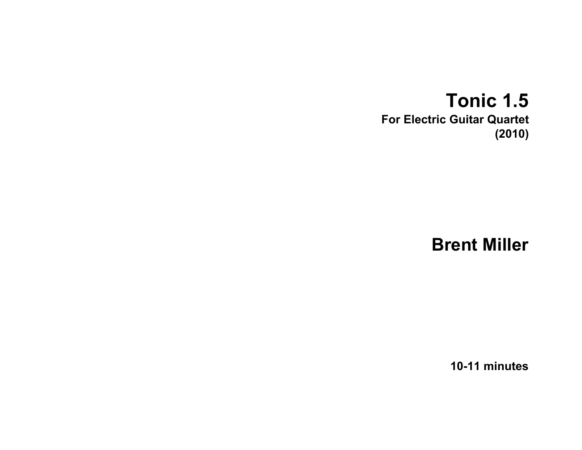## **Tonic 1.5 For Electric Guitar Quartet (2010)**

**Brent Miller**

**10-11 minutes**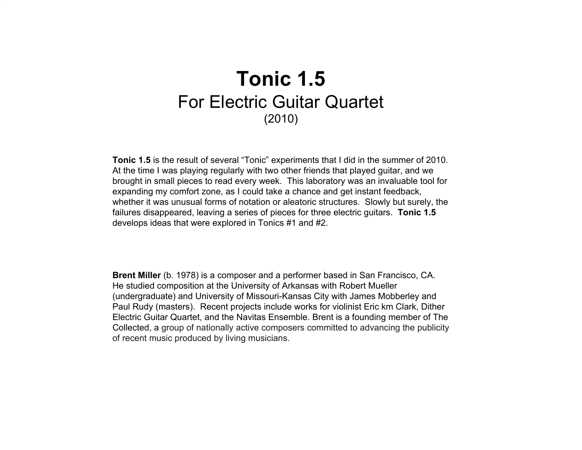## **Tonic 1.5** For Electric Guitar Quartet (2010)

**Tonic 1.5** is the result of several "Tonic" experiments that I did in the summer of 2010. At the time I was playing regularly with two other friends that played guitar, and we brought in small pieces to read every week. This laboratory was an invaluable tool for expanding my comfort zone, as I could take a chance and get instant feedback, whether it was unusual forms of notation or aleatoric structures. Slowly but surely, the failures disappeared, leaving a series of pieces for three electric guitars. **Tonic 1.5** develops ideas that were explored in Tonics #1 and #2.

**Brent Miller** (b. 1978) is a composer and a performer based in San Francisco, CA. He studied composition at the University of Arkansas with Robert Mueller (undergraduate) and University of Missouri-Kansas City with James Mobberley and Paul Rudy (masters). Recent projects include works for violinist Eric km Clark, Dither Electric Guitar Quartet, and the Navitas Ensemble. Brent is a founding member of The Collected, a group of nationally active composers committed to advancing the publicity of recent music produced by living musicians.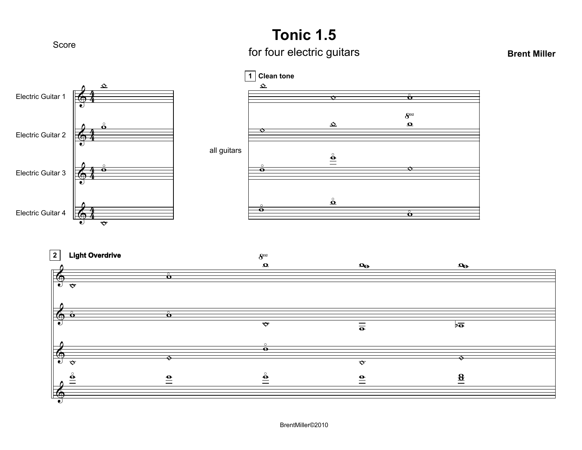### **Tonic 1.5**

# Score **Score for four electric guitars**

#### **Brent Miller**